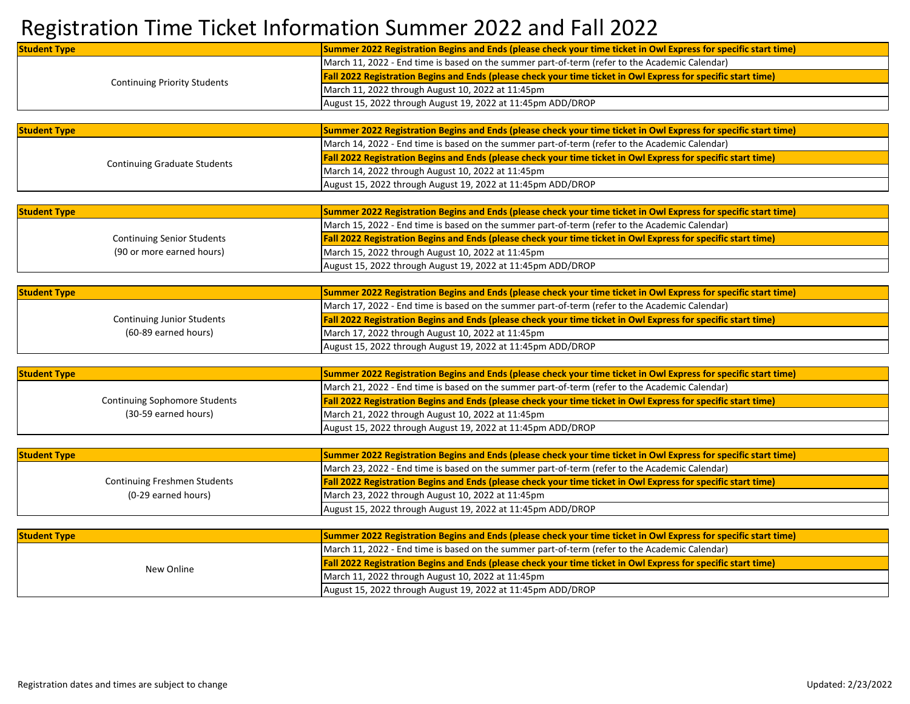## Registration Time Ticket Information Summer 2022 and Fall 2022

| <b>Student Type</b>                  | Summer 2022 Registration Begins and Ends (please check your time ticket in Owl Express for specific start time) |
|--------------------------------------|-----------------------------------------------------------------------------------------------------------------|
| <b>Continuing Priority Students</b>  | March 11, 2022 - End time is based on the summer part-of-term (refer to the Academic Calendar)                  |
|                                      | Fall 2022 Registration Begins and Ends (please check your time ticket in Owl Express for specific start time)   |
|                                      | March 11, 2022 through August 10, 2022 at 11:45pm                                                               |
|                                      | August 15, 2022 through August 19, 2022 at 11:45pm ADD/DROP                                                     |
|                                      |                                                                                                                 |
| <b>Student Type</b>                  | Summer 2022 Registration Begins and Ends (please check your time ticket in Owl Express for specific start time) |
|                                      | March 14, 2022 - End time is based on the summer part-of-term (refer to the Academic Calendar)                  |
|                                      | Fall 2022 Registration Begins and Ends (please check your time ticket in Owl Express for specific start time)   |
| <b>Continuing Graduate Students</b>  | March 14, 2022 through August 10, 2022 at 11:45pm                                                               |
|                                      | August 15, 2022 through August 19, 2022 at 11:45pm ADD/DROP                                                     |
|                                      |                                                                                                                 |
| <b>Student Type</b>                  | Summer 2022 Registration Begins and Ends (please check your time ticket in Owl Express for specific start time) |
|                                      | March 15, 2022 - End time is based on the summer part-of-term (refer to the Academic Calendar)                  |
| <b>Continuing Senior Students</b>    | Fall 2022 Registration Begins and Ends (please check your time ticket in Owl Express for specific start time)   |
| (90 or more earned hours)            | March 15, 2022 through August 10, 2022 at 11:45pm                                                               |
|                                      | August 15, 2022 through August 19, 2022 at 11:45pm ADD/DROP                                                     |
|                                      |                                                                                                                 |
| <b>Student Type</b>                  | Summer 2022 Registration Begins and Ends (please check your time ticket in Owl Express for specific start time) |
|                                      | March 17, 2022 - End time is based on the summer part-of-term (refer to the Academic Calendar)                  |
| <b>Continuing Junior Students</b>    | Fall 2022 Registration Begins and Ends (please check your time ticket in Owl Express for specific start time)   |
| (60-89 earned hours)                 | March 17, 2022 through August 10, 2022 at 11:45pm                                                               |
|                                      | August 15, 2022 through August 19, 2022 at 11:45pm ADD/DROP                                                     |
|                                      |                                                                                                                 |
| <b>Student Type</b>                  | Summer 2022 Registration Begins and Ends (please check your time ticket in Owl Express for specific start time) |
|                                      | March 21, 2022 - End time is based on the summer part-of-term (refer to the Academic Calendar)                  |
| <b>Continuing Sophomore Students</b> | Fall 2022 Registration Begins and Ends (please check your time ticket in Owl Express for specific start time)   |
| (30-59 earned hours)                 | March 21, 2022 through August 10, 2022 at 11:45pm                                                               |
|                                      | August 15, 2022 through August 19, 2022 at 11:45pm ADD/DROP                                                     |
|                                      |                                                                                                                 |
| <b>Student Type</b>                  | Summer 2022 Registration Begins and Ends (please check your time ticket in Owl Express for specific start time) |
|                                      | March 23, 2022 - End time is based on the summer part-of-term (refer to the Academic Calendar)                  |
| <b>Continuing Freshmen Students</b>  | Fall 2022 Registration Begins and Ends (please check your time ticket in Owl Express for specific start time)   |
| (0-29 earned hours)                  | March 23, 2022 through August 10, 2022 at 11:45pm                                                               |
|                                      | August 15, 2022 through August 19, 2022 at 11:45pm ADD/DROP                                                     |
|                                      |                                                                                                                 |
| <b>Student Type</b>                  | Summer 2022 Registration Begins and Ends (please check your time ticket in Owl Express for specific start time) |
| New Online                           | March 11, 2022 - End time is based on the summer part-of-term (refer to the Academic Calendar)                  |
|                                      | Fall 2022 Registration Begins and Ends (please check your time ticket in Owl Express for specific start time)   |
|                                      | March 11, 2022 through August 10, 2022 at 11:45pm                                                               |
|                                      | August 15, 2022 through August 19, 2022 at 11:45pm ADD/DROP                                                     |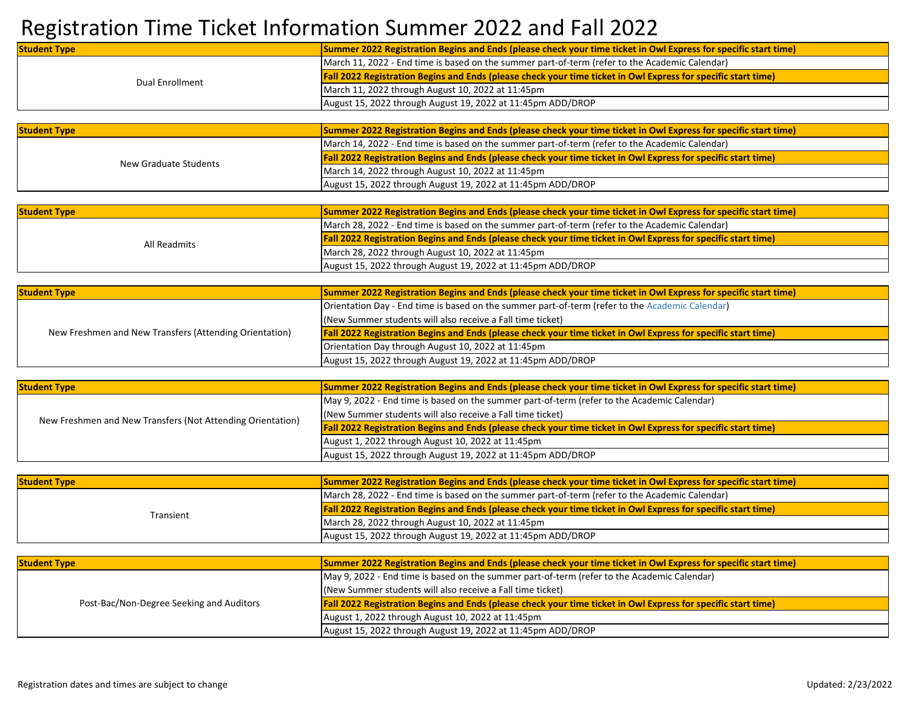## Registration Time Ticket Information Summer 2022 and Fall 2022

| <b>Student Type</b>                                    | Summer 2022 Registration Begins and Ends (please check your time ticket in Owl Express for specific start time) |
|--------------------------------------------------------|-----------------------------------------------------------------------------------------------------------------|
| Dual Enrollment                                        | March 11, 2022 - End time is based on the summer part-of-term (refer to the Academic Calendar)                  |
|                                                        | Fall 2022 Registration Begins and Ends (please check your time ticket in Owl Express for specific start time)   |
|                                                        | March 11, 2022 through August 10, 2022 at 11:45pm                                                               |
|                                                        | August 15, 2022 through August 19, 2022 at 11:45pm ADD/DROP                                                     |
|                                                        |                                                                                                                 |
| <b>Student Type</b>                                    | Summer 2022 Registration Begins and Ends (please check your time ticket in Owl Express for specific start time) |
|                                                        | March 14, 2022 - End time is based on the summer part-of-term (refer to the Academic Calendar)                  |
| New Graduate Students                                  | Fall 2022 Registration Begins and Ends (please check your time ticket in Owl Express for specific start time)   |
|                                                        | March 14, 2022 through August 10, 2022 at 11:45pm                                                               |
|                                                        | August 15, 2022 through August 19, 2022 at 11:45pm ADD/DROP                                                     |
|                                                        |                                                                                                                 |
| <b>Student Type</b>                                    | Summer 2022 Registration Begins and Ends (please check your time ticket in Owl Express for specific start time) |
|                                                        | March 28, 2022 - End time is based on the summer part-of-term (refer to the Academic Calendar)                  |
| All Readmits                                           | Fall 2022 Registration Begins and Ends (please check your time ticket in Owl Express for specific start time)   |
|                                                        | March 28, 2022 through August 10, 2022 at 11:45pm                                                               |
|                                                        | August 15, 2022 through August 19, 2022 at 11:45pm ADD/DROP                                                     |
|                                                        |                                                                                                                 |
| <b>Student Type</b>                                    | Summer 2022 Registration Begins and Ends (please check your time ticket in Owl Express for specific start time) |
|                                                        | Orientation Day - End time is based on the summer part-of-term (refer to the Academic Calendar)                 |
| New Freshmen and New Transfers (Attending Orientation) | (New Summer students will also receive a Fall time ticket)                                                      |
|                                                        | Fall 2022 Registration Begins and Ends (please check your time ticket in Owl Express for specific start time)   |
|                                                        | Orientation Day through August 10, 2022 at 11:45pm                                                              |
|                                                        | August 15, 2022 through August 19, 2022 at 11:45pm ADD/DROP                                                     |

| <b>Student Type</b>                                        | Summer 2022 Registration Begins and Ends (please check your time ticket in Owl Express for specific start time)      |
|------------------------------------------------------------|----------------------------------------------------------------------------------------------------------------------|
|                                                            | May 9, 2022 - End time is based on the summer part-of-term (refer to the Academic Calendar)                          |
| New Freshmen and New Transfers (Not Attending Orientation) | (New Summer students will also receive a Fall time ticket)                                                           |
|                                                            | <b>Fall 2022 Registration Begins and Ends (please check your time ticket in Owl Express for specific start time)</b> |
|                                                            | August 1, 2022 through August 10, 2022 at 11:45pm                                                                    |
|                                                            | August 15, 2022 through August 19, 2022 at 11:45pm ADD/DROP                                                          |

| <b>Student Type</b> | Summer 2022 Registration Begins and Ends (please check your time ticket in Owl Express for specific start time)      |
|---------------------|----------------------------------------------------------------------------------------------------------------------|
| Transient           | March 28, 2022 - End time is based on the summer part-of-term (refer to the Academic Calendar)                       |
|                     | <b>Fall 2022 Registration Begins and Ends (please check your time ticket in Owl Express for specific start time)</b> |
|                     | March 28, 2022 through August 10, 2022 at 11:45pm                                                                    |
|                     | August 15, 2022 through August 19, 2022 at 11:45pm ADD/DROP                                                          |

| <b>Student Type</b>                      | Summer 2022 Registration Begins and Ends (please check your time ticket in Owl Express for specific start time)      |
|------------------------------------------|----------------------------------------------------------------------------------------------------------------------|
|                                          | May 9, 2022 - End time is based on the summer part-of-term (refer to the Academic Calendar)                          |
|                                          | (New Summer students will also receive a Fall time ticket)                                                           |
| Post-Bac/Non-Degree Seeking and Auditors | <b>Fall 2022 Registration Begins and Ends (please check your time ticket in Owl Express for specific start time)</b> |
|                                          | August 1, 2022 through August 10, 2022 at 11:45pm                                                                    |
|                                          | August 15, 2022 through August 19, 2022 at 11:45pm ADD/DROP                                                          |